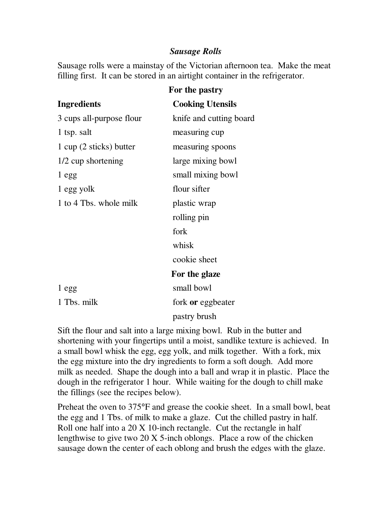## *Sausage Rolls*

Sausage rolls were a mainstay of the Victorian afternoon tea. Make the meat filling first. It can be stored in an airtight container in the refrigerator.

|                          | For the pastry          |
|--------------------------|-------------------------|
| <b>Ingredients</b>       | <b>Cooking Utensils</b> |
| 3 cups all-purpose flour | knife and cutting board |
| 1 tsp. salt              | measuring cup           |
| 1 cup (2 sticks) butter  | measuring spoons        |
| 1/2 cup shortening       | large mixing bowl       |
| 1 egg                    | small mixing bowl       |
| 1 egg yolk               | flour sifter            |
| 1 to 4 Tbs. whole milk   | plastic wrap            |
|                          | rolling pin             |
|                          | fork                    |
|                          | whisk                   |
|                          | cookie sheet            |
|                          | For the glaze           |
| 1 egg                    | small bowl              |
| 1 Tbs. milk              | fork or eggbeater       |
|                          | pastry brush            |

Sift the flour and salt into a large mixing bowl. Rub in the butter and shortening with your fingertips until a moist, sandlike texture is achieved. In a small bowl whisk the egg, egg yolk, and milk together. With a fork, mix the egg mixture into the dry ingredients to form a soft dough. Add more milk as needed. Shape the dough into a ball and wrap it in plastic. Place the dough in the refrigerator 1 hour. While waiting for the dough to chill make the fillings (see the recipes below).

Preheat the oven to 375°F and grease the cookie sheet. In a small bowl, beat the egg and 1 Tbs. of milk to make a glaze. Cut the chilled pastry in half. Roll one half into a 20 X 10-inch rectangle. Cut the rectangle in half lengthwise to give two 20 X 5-inch oblongs. Place a row of the chicken sausage down the center of each oblong and brush the edges with the glaze.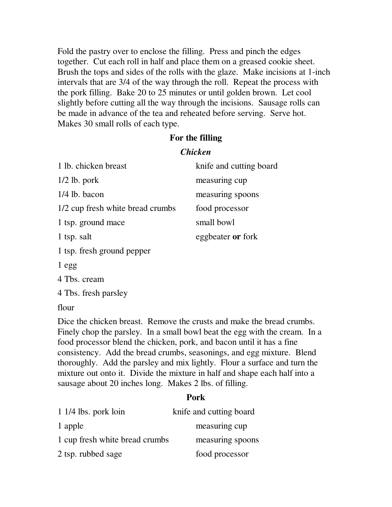Fold the pastry over to enclose the filling. Press and pinch the edges together. Cut each roll in half and place them on a greased cookie sheet. Brush the tops and sides of the rolls with the glaze. Make incisions at 1-inch intervals that are 3/4 of the way through the roll. Repeat the process with the pork filling. Bake 20 to 25 minutes or until golden brown. Let cool slightly before cutting all the way through the incisions. Sausage rolls can be made in advance of the tea and reheated before serving. Serve hot. Makes 30 small rolls of each type.

## **For the filling**

## *Chicken*

| 1 lb. chicken breast             | knife and cutting board |
|----------------------------------|-------------------------|
| $1/2$ lb. pork                   | measuring cup           |
| $1/4$ lb. bacon                  | measuring spoons        |
| 1/2 cup fresh white bread crumbs | food processor          |
| 1 tsp. ground mace               | small bowl              |
| 1 tsp. salt                      | eggbeater or fork       |
| 1 tsp. fresh ground pepper       |                         |
|                                  |                         |

1 egg

4 Tbs. cream

4 Tbs. fresh parsley

flour

Dice the chicken breast. Remove the crusts and make the bread crumbs. Finely chop the parsley. In a small bowl beat the egg with the cream. In a food processor blend the chicken, pork, and bacon until it has a fine consistency. Add the bread crumbs, seasonings, and egg mixture. Blend thoroughly. Add the parsley and mix lightly. Flour a surface and turn the mixture out onto it. Divide the mixture in half and shape each half into a sausage about 20 inches long. Makes 2 lbs. of filling.

## **Pork**

| $11/4$ lbs. pork loin          | knife and cutting board |
|--------------------------------|-------------------------|
| 1 apple                        | measuring cup           |
| 1 cup fresh white bread crumbs | measuring spoons        |
| 2 tsp. rubbed sage             | food processor          |